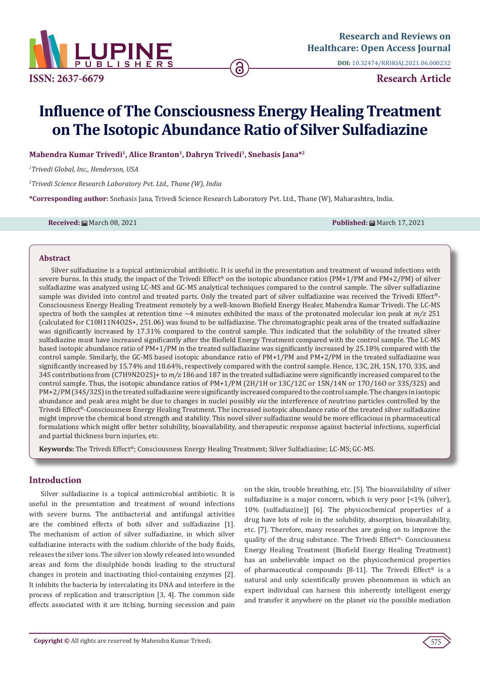

**ISSN: 2637-6679 Research Article**

**DOI:** [10.32474/RRHOAJ.2021.06.000232](http://dx.doi.org/10.32474/RRHOAJ.2021.06.000232)

# **Influence of The Consciousness Energy Healing Treatment on The Isotopic Abundance Ratio of Silver Sulfadiazine**

**Mahendra Kumar Trivedi1, Alice Branton1, Dahryn Trivedi<sup>1</sup>, Snehasis Jana\*<sup>2</sup>**

*1 Trivedi Global, Inc., Henderson, USA*

*2 Trivedi Science Research Laboratory Pvt. Ltd., Thane (W), India*

**\*Corresponding author:** Snehasis Jana, Trivedi Science Research Laboratory Pvt. Ltd., Thane (W), Maharashtra, India.

**Received:** March 08, 2021 **Published:** March 17, 2021

#### **Abstract**

Silver sulfadiazine is a topical antimicrobial antibiotic. It is useful in the presentation and treatment of wound infections with severe burns. In this study, the impact of the Trivedi Effect® on the isotopic abundance ratios (PM+1/PM and PM+2/PM) of silver sulfadiazine was analyzed using LC-MS and GC-MS analytical techniques compared to the control sample. The silver sulfadiazine sample was divided into control and treated parts. Only the treated part of silver sulfadiazine was received the Trivedi Effect®- Consciousness Energy Healing Treatment remotely by a well-known Biofield Energy Healer, Mahendra Kumar Trivedi. The LC-MS spectra of both the samples at retention time ~4 minutes exhibited the mass of the protonated molecular ion peak at *m/z* 251 (calculated for C10H11N4O2S+, 251.06) was found to be sulfadiazine. The chromatographic peak area of the treated sulfadiazine was significantly increased by 17.31% compared to the control sample. This indicated that the solubility of the treated silver sulfadiazine must have increased significantly after the Biofield Energy Treatment compared with the control sample. The LC-MS based isotopic abundance ratio of PM+1/PM in the treated sulfadiazine was significantly increased by 25.18% compared with the control sample. Similarly, the GC-MS based isotopic abundance ratio of PM+1/PM and PM+2/PM in the treated sulfadiazine was significantly increased by 15.74% and 18.64%, respectively compared with the control sample. Hence, 13C, 2H, 15N, 17O, 33S, and 34S contributions from (C7H9N2O2S)+ to *m/z* 186 and 187 in the treated sulfadiazine were significantly increased compared to the control sample. Thus, the isotopic abundance ratios of PM+1/PM (2H/1H or 13C/12C or 15N/14N or 17O/16O or 33S/32S) and PM+2/PM (34S/32S) in the treated sulfadiazine were significantly increased compared to the control sample. The changes in isotopic abundance and peak area might be due to changes in nuclei possibly *via* the interference of neutrino particles controlled by the Trivedi Effect®-Consciousness Energy Healing Treatment. The increased isotopic abundance ratio of the treated silver sulfadiazine might improve the chemical bond strength and stability. This novel silver sulfadiazine would be more efficacious in pharmaceutical formulations which might offer better solubility, bioavailability, and therapeutic response against bacterial infections, superficial and partial thickness burn injuries, etc.

**Keywords:** The Trivedi Effect®; Consciousness Energy Healing Treatment; Silver Sulfadiazine; LC-MS; GC-MS.

# **Introduction**

Silver sulfadiazine is a topical antimicrobial antibiotic. It is useful in the presentation and treatment of wound infections with severe burns. The antibacterial and antifungal activities are the combined effects of both silver and sulfadiazine [1]. The mechanism of action of silver sulfadiazine, in which silver sulfadiazine interacts with the sodium chloride of the body fluids, releases the silver ions. The silver ion slowly released into wounded areas and form the disulphide bonds leading to the structural changes in protein and inactivating thiol-containing enzymes [2]. It inhibits the bacteria by intercalating its DNA and interfere in the process of replication and transcription [3, 4]. The common side effects associated with it are itching, burning secession and pain on the skin, trouble breathing, etc. [5]. The bioavailability of silver sulfadiazine is a major concern, which is very poor [<1% (silver), 10% (sulfadiazine)] [6]. The physicochemical properties of a drug have lots of role in the solubility, absorption, bioavailability, etc. [7]. Therefore, many researches are going on to improve the quality of the drug substance. The Trivedi Effect®- Consciousness Energy Healing Treatment (Biofield Energy Healing Treatment) has an unbelievable impact on the physicochemical properties of pharmaceutical compounds [8-11]. The Trivedi Effect<sup>®</sup> is a natural and only scientifically proven phenomenon in which an expert individual can harness this inherently intelligent energy and transfer it anywhere on the planet *via* the possible mediation

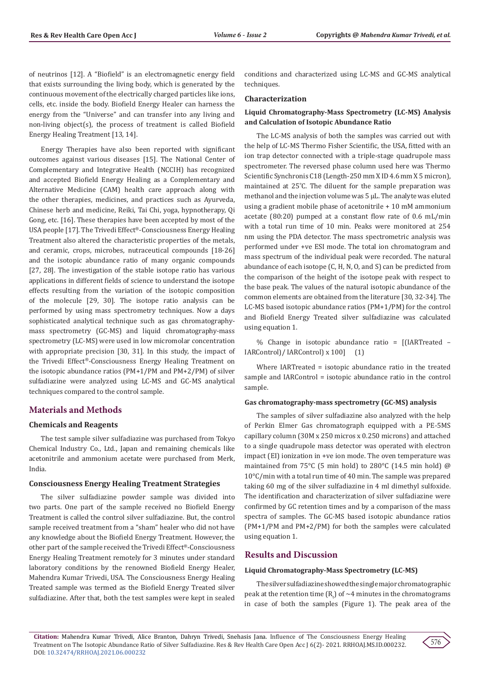of neutrinos [12]. A "Biofield" is an electromagnetic energy field that exists surrounding the living body, which is generated by the continuous movement of the electrically charged particles like ions, cells, etc. inside the body. Biofield Energy Healer can harness the energy from the "Universe" and can transfer into any living and non-living object(s), the process of treatment is called Biofield Energy Healing Treatment [13, 14].

Energy Therapies have also been reported with significant outcomes against various diseases [15]. The National Center of Complementary and Integrative Health (NCCIH) has recognized and accepted Biofield Energy Healing as a Complementary and Alternative Medicine (CAM) health care approach along with the other therapies, medicines, and practices such as Ayurveda, Chinese herb and medicine, Reiki, Tai Chi, yoga, hypnotherapy, Qi Gong, etc. [16]. These therapies have been accepted by most of the USA people [17]. The Trivedi Effect®-Consciousness Energy Healing Treatment also altered the characteristic properties of the metals, and ceramic, crops, microbes, nutraceutical compounds [18-26] and the isotopic abundance ratio of many organic compounds [27, 28]. The investigation of the stable isotope ratio has various applications in different fields of science to understand the isotope effects resulting from the variation of the isotopic composition of the molecule [29, 30]. The isotope ratio analysis can be performed by using mass spectrometry techniques. Now a days sophisticated analytical technique such as gas chromatographymass spectrometry (GC-MS) and liquid chromatography-mass spectrometry (LC-MS) were used in low micromolar concentration with appropriate precision [30, 31]. In this study, the impact of the Trivedi Effect®-Consciousness Energy Healing Treatment on the isotopic abundance ratios (PM+1/PM and PM+2/PM) of silver sulfadiazine were analyzed using LC-MS and GC-MS analytical techniques compared to the control sample.

# **Materials and Methods**

## **Chemicals and Reagents**

The test sample silver sulfadiazine was purchased from Tokyo Chemical Industry Co., Ltd., Japan and remaining chemicals like acetonitrile and ammonium acetate were purchased from Merk, India.

## **Consciousness Energy Healing Treatment Strategies**

The silver sulfadiazine powder sample was divided into two parts. One part of the sample received no Biofield Energy Treatment is called the control silver sulfadiazine. But, the control sample received treatment from a "sham" healer who did not have any knowledge about the Biofield Energy Treatment. However, the other part of the sample received the Trivedi Effect®-Consciousness Energy Healing Treatment remotely for 3 minutes under standard laboratory conditions by the renowned Biofield Energy Healer, Mahendra Kumar Trivedi, USA. The Consciousness Energy Healing Treated sample was termed as the Biofield Energy Treated silver sulfadiazine. After that, both the test samples were kept in sealed

conditions and characterized using LC-MS and GC-MS analytical techniques.

#### **Characterization**

## **Liquid Chromatography-Mass Spectrometry (LC-MS) Analysis and Calculation of Isotopic Abundance Ratio**

The LC-MS analysis of both the samples was carried out with the help of LC-MS Thermo Fisher Scientific, the USA, fitted with an ion trap detector connected with a triple-stage quadrupole mass spectrometer. The reversed phase column used here was Thermo Scientific Synchronis C18 (Length-250 mm X ID 4.6 mm X 5 micron), maintained at 25˚C. The diluent for the sample preparation was methanol and the injection volume was 5 µL. The analyte was eluted using a gradient mobile phase of acetonitrile + 10 mM ammonium acetate (80:20) pumped at a constant flow rate of 0.6 mL/min with a total run time of 10 min. Peaks were monitored at 254 nm using the PDA detector. The mass spectrometric analysis was performed under +ve ESI mode. The total ion chromatogram and mass spectrum of the individual peak were recorded. The natural abundance of each isotope (C, H, N, O, and S) can be predicted from the comparison of the height of the isotope peak with respect to the base peak. The values of the natural isotopic abundance of the common elements are obtained from the literature [30, 32-34]. The LC-MS based isotopic abundance ratios (PM+1/PM) for the control and Biofield Energy Treated silver sulfadiazine was calculated using equation 1.

% Change in isotopic abundance ratio = [(IARTreated – IARControl)/ IARControl) x 100] (1)

Where IARTreated = isotopic abundance ratio in the treated sample and IARControl = isotopic abundance ratio in the control sample.

#### **Gas chromatography-mass spectrometry (GC-MS) analysis**

The samples of silver sulfadiazine also analyzed with the help of Perkin Elmer Gas chromatograph equipped with a PE-5MS capillary column (30M x 250 micros x 0.250 microns) and attached to a single quadrupole mass detector was operated with electron impact (EI) ionization in +ve ion mode. The oven temperature was maintained from 75°C (5 min hold) to 280°C (14.5 min hold) @ 10°C/min with a total run time of 40 min. The sample was prepared taking 60 mg of the silver sulfadiazine in 4 ml dimethyl sulfoxide. The identification and characterization of silver sulfadiazine were confirmed by GC retention times and by a comparison of the mass spectra of samples. The GC-MS based isotopic abundance ratios (PM+1/PM and PM+2/PM) for both the samples were calculated using equation 1.

## **Results and Discussion**

#### **Liquid Chromatography-Mass Spectrometry (LC-MS)**

The silver sulfadiazine showed the single major chromatographic peak at the retention time ( $\text{R}_{\text{t}}$ ) of  $\sim$ 4 minutes in the chromatograms in case of both the samples (Figure 1). The peak area of the

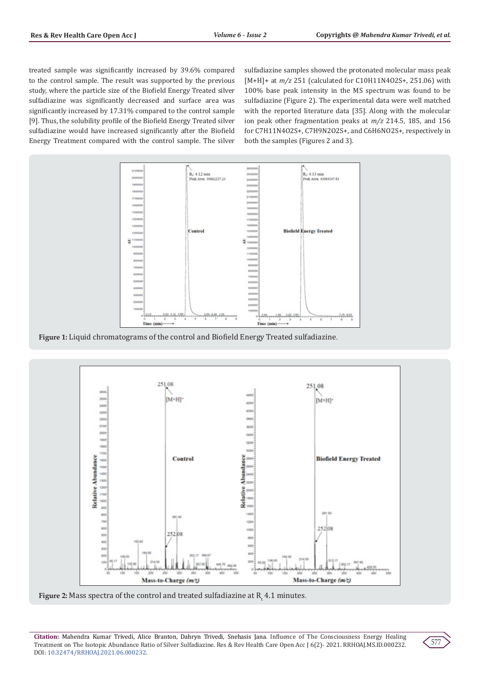treated sample was significantly increased by 39.6% compared to the control sample. The result was supported by the previous study, where the particle size of the Biofield Energy Treated silver sulfadiazine was significantly decreased and surface area was significantly increased by 17.31% compared to the control sample [9]. Thus, the solubility profile of the Biofield Energy Treated silver sulfadiazine would have increased significantly after the Biofield Energy Treatment compared with the control sample. The silver sulfadiazine samples showed the protonated molecular mass peak [M+H]+ at *m/z* 251 (calculated for C10H11N4O2S+, 251.06) with 100% base peak intensity in the MS spectrum was found to be sulfadiazine (Figure 2). The experimental data were well matched with the reported literature data [35]. Along with the molecular ion peak other fragmentation peaks at *m/z* 214.5, 185, and 156 for C7H11N4O2S+, C7H9N2O2S+, and C6H6NO2S+, respectively in both the samples (Figures 2 and 3).



**Figure 1:** Liquid chromatograms of the control and Biofield Energy Treated sulfadiazine.



**Figure 2:** Mass spectra of the control and treated sulfadiazine at  $\mathsf{R}_{\mathsf{t}}$  4.1 minutes.

**Citation:** Mahendra Kumar Trivedi, Alice Branton, Dahryn Trivedi, Snehasis Jana. Influence of The Consciousness Energy Healing Treatment on The Isotopic Abundance Ratio of Silver Sulfadiazine. Res & Rev Health Care Open Acc J 6(2)- 2021. RRHOAJ.MS.ID.000232. DOI: [10.32474/RRHOAJ.2021.06.00023](http://dx.doi.org/10.32474/RRHOAJ.2021.06.000232)2.

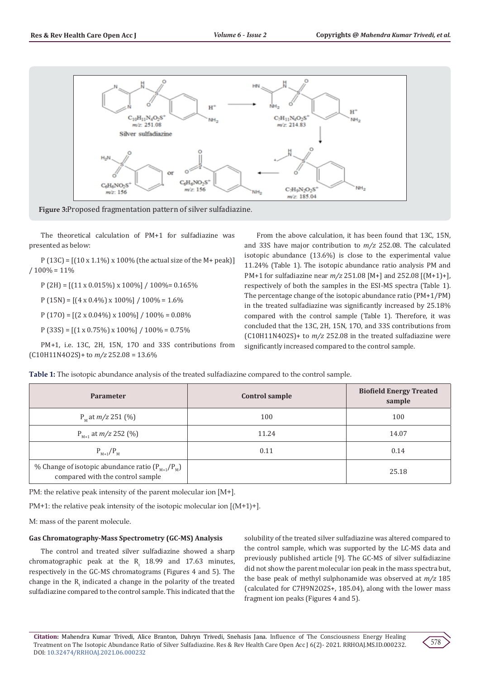

**Figure 3:**Proposed fragmentation pattern of silver sulfadiazine.

The theoretical calculation of PM+1 for sulfadiazine was presented as below:

P (13C) =  $[(10 \times 1.1\%) \times 100\%$  (the actual size of the M+ peak)]  $/ 100\% = 11\%$ 

 $P (2H) = [(11 \times 0.015\%) \times 100\%]/100\% = 0.165\%$ 

 $P(15N) = [(4 \times 0.4\%) \times 100\%] / 100\% = 1.6\%$ 

 $P(170) = [(2 \times 0.04\%) \times 100\%] / 100\% = 0.08\%$ 

 $P (33S) = [(1 \times 0.75\%) \times 100\%]/100\% = 0.75\%$ 

PM+1, i.e. 13C, 2H, 15N, 17O and 33S contributions from (C10H11N4O2S)+ to *m/z* 252.08 = 13.6%

From the above calculation, it has been found that 13C, 15N, and 33S have major contribution to *m/z* 252.08. The calculated isotopic abundance (13.6%) is close to the experimental value 11.24% (Table 1). The isotopic abundance ratio analysis PM and PM+1 for sulfadiazine near *m/z* 251.08 [M+] and 252.08 [(M+1)+], respectively of both the samples in the ESI-MS spectra (Table 1). The percentage change of the isotopic abundance ratio (PM+1/PM) in the treated sulfadiazine was significantly increased by 25.18% compared with the control sample (Table 1). Therefore, it was concluded that the 13C, 2H, 15N, 17O, and 33S contributions from (C10H11N4O2S)+ to *m/z* 252.08 in the treated sulfadiazine were significantly increased compared to the control sample.

| <b>Parameter</b>                                                                         | Control sample | <b>Biofield Energy Treated</b><br>sample |
|------------------------------------------------------------------------------------------|----------------|------------------------------------------|
| $P_{M}$ at $m/z$ 251 (%)                                                                 | 100            | 100                                      |
| $P_{M+1}$ at $m/z$ 252 (%)                                                               | 11.24          | 14.07                                    |
| $P_{M+1}/P_{M}$                                                                          | 0.11           | 0.14                                     |
| % Change of isotopic abundance ratio $(P_{M+1}/P_M)$<br>compared with the control sample |                | 25.18                                    |

PM: the relative peak intensity of the parent molecular ion [M+].

PM+1: the relative peak intensity of the isotopic molecular ion [(M+1)+].

M: mass of the parent molecule.

#### **Gas Chromatography-Mass Spectrometry (GC-MS) Analysis**

The control and treated silver sulfadiazine showed a sharp chromatographic peak at the  $R_t$  18.99 and 17.63 minutes, respectively in the GC-MS chromatograms (Figures 4 and 5). The change in the  $R_t$  indicated a change in the polarity of the treated sulfadiazine compared to the control sample. This indicated that the

solubility of the treated silver sulfadiazine was altered compared to the control sample, which was supported by the LC-MS data and previously published article [9]. The GC-MS of silver sulfadiazine did not show the parent molecular ion peak in the mass spectra but, the base peak of methyl sulphonamide was observed at *m/z* 185 (calculated for C7H9N2O2S+, 185.04), along with the lower mass fragment ion peaks (Figures 4 and 5).

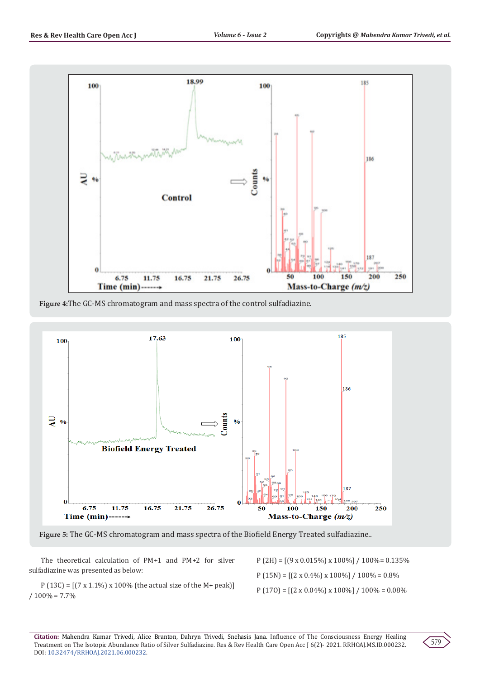

**Figure 4:**The GC-MS chromatogram and mass spectra of the control sulfadiazine.



**Figure 5:** The GC-MS chromatogram and mass spectra of the Biofield Energy Treated sulfadiazine..

The theoretical calculation of PM+1 and PM+2 for silver sulfadiazine was presented as below:

P (13C) =  $[(7 \times 1.1\%) \times 100\%$  (the actual size of the M+ peak)]  $/ 100\% = 7.7\%$ 

P (2H) = [(9 x 0.015%) x 100%] / 100%= 0.135% P (15N) =  $[(2 \times 0.4\%) \times 100\%] / 100\% = 0.8\%$  $P(170) = [(2 \times 0.04\%) \times 100\%] / 100\% = 0.08\%$ 

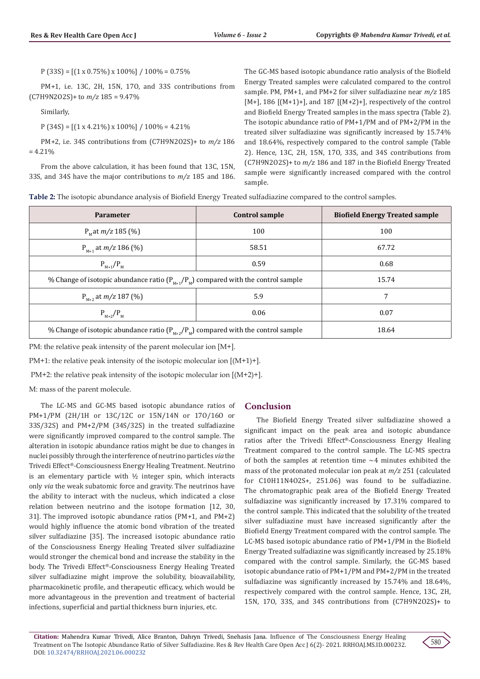$P (33S) = [(1 \times 0.75\%) \times 100\%] / 100\% = 0.75\%$ 

PM+1, i.e. 13C, 2H, 15N, 17O, and 33S contributions from (C7H9N2O2S)+ to *m/z* 185 = 9.47%

Similarly,

 $P(34S) = [(1 \times 4.21\%) \times 100\%] / 100\% = 4.21\%$ 

PM+2, i.e. 34S contributions from (C7H9N2O2S)+ to *m/z* 186  $= 4.21\%$ 

From the above calculation, it has been found that 13C, 15N, 33S, and 34S have the major contributions to *m/z* 185 and 186. The GC-MS based isotopic abundance ratio analysis of the Biofield Energy Treated samples were calculated compared to the control sample. PM, PM+1, and PM+2 for silver sulfadiazine near *m/z* 185  $[M+]$ , 186  $[(M+1)+]$ , and 187  $[(M+2)+]$ , respectively of the control and Biofield Energy Treated samples in the mass spectra (Table 2). The isotopic abundance ratio of PM+1/PM and of PM+2/PM in the treated silver sulfadiazine was significantly increased by 15.74% and 18.64%, respectively compared to the control sample (Table 2). Hence, 13C, 2H, 15N, 17O, 33S, and 34S contributions from (C7H9N2O2S)+ to *m/z* 186 and 187 in the Biofield Energy Treated sample were significantly increased compared with the control sample.

| <b>Table 2:</b> The isotopic abundance analysis of Biofield Energy Treated sulfadiazine compared to the control samples. |  |  |  |
|--------------------------------------------------------------------------------------------------------------------------|--|--|--|
|--------------------------------------------------------------------------------------------------------------------------|--|--|--|

| <b>Parameter</b>                                                                      | Control sample | <b>Biofield Energy Treated sample</b> |
|---------------------------------------------------------------------------------------|----------------|---------------------------------------|
| $PM$ at <i>m/z</i> 185 (%)                                                            | 100            | 100                                   |
| $P_{M+1}$ at $m/z$ 186 (%)                                                            | 58.51          | 67.72                                 |
| $P_{M+1}/P_{M}$                                                                       | 0.59           | 0.68                                  |
| % Change of isotopic abundance ratio $(P_{M+1}/P_M)$ compared with the control sample | 15.74          |                                       |
| $P_{M+2}$ at $m/z$ 187 (%)                                                            | 5.9            | 7                                     |
| $P_{M+2}/P_{M}$                                                                       | 0.06           | 0.07                                  |
| % Change of isotopic abundance ratio $(P_{M+2}/P_M)$ compared with the control sample |                | 18.64                                 |

PM: the relative peak intensity of the parent molecular ion [M+].

PM+1: the relative peak intensity of the isotopic molecular ion [(M+1)+].

PM+2: the relative peak intensity of the isotopic molecular ion [(M+2)+].

M: mass of the parent molecule.

The LC-MS and GC-MS based isotopic abundance ratios of PM+1/PM (2H/1H or 13C/12C or 15N/14N or 17O/16O or 33S/32S) and PM+2/PM (34S/32S) in the treated sulfadiazine were significantly improved compared to the control sample. The alteration in isotopic abundance ratios might be due to changes in nuclei possibly through the interference of neutrino particles *via* the Trivedi Effect®-Consciousness Energy Healing Treatment. Neutrino is an elementary particle with  $1/2$  integer spin, which interacts only *via* the weak subatomic force and gravity. The neutrinos have the ability to interact with the nucleus, which indicated a close relation between neutrino and the isotope formation [12, 30, 31]. The improved isotopic abundance ratios (PM+1, and PM+2) would highly influence the atomic bond vibration of the treated silver sulfadiazine [35]. The increased isotopic abundance ratio of the Consciousness Energy Healing Treated silver sulfadiazine would stronger the chemical bond and increase the stability in the body. The Trivedi Effect®-Consciousness Energy Healing Treated silver sulfadiazine might improve the solubility, bioavailability, pharmacokinetic profile, and therapeutic efficacy, which would be more advantageous in the prevention and treatment of bacterial infections, superficial and partial thickness burn injuries, etc.

# **Conclusion**

The Biofield Energy Treated silver sulfadiazine showed a significant impact on the peak area and isotopic abundance ratios after the Trivedi Effect®-Consciousness Energy Healing Treatment compared to the control sample. The LC-MS spectra of both the samples at retention time ~4 minutes exhibited the mass of the protonated molecular ion peak at *m/z* 251 (calculated for C10H11N4O2S+, 251.06) was found to be sulfadiazine. The chromatographic peak area of the Biofield Energy Treated sulfadiazine was significantly increased by 17.31% compared to the control sample. This indicated that the solubility of the treated silver sulfadiazine must have increased significantly after the Biofield Energy Treatment compared with the control sample. The LC-MS based isotopic abundance ratio of PM+1/PM in the Biofield Energy Treated sulfadiazine was significantly increased by 25.18% compared with the control sample. Similarly, the GC-MS based isotopic abundance ratio of PM+1/PM and PM+2/PM in the treated sulfadiazine was significantly increased by 15.74% and 18.64%, respectively compared with the control sample. Hence, 13C, 2H, 15N, 17O, 33S, and 34S contributions from (C7H9N2O2S)+ to

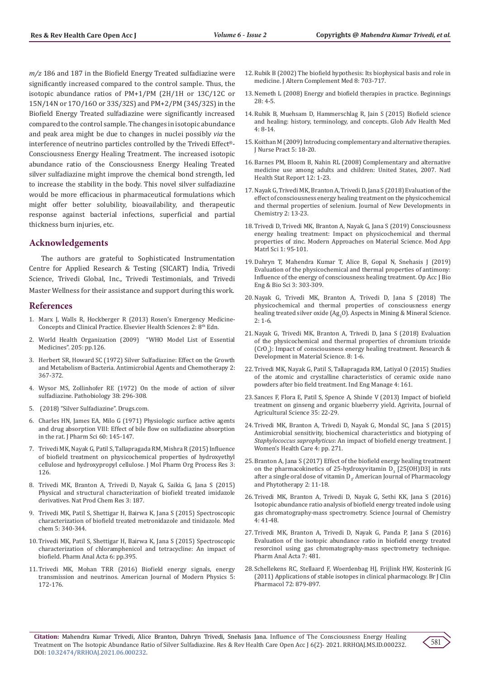*m/z* 186 and 187 in the Biofield Energy Treated sulfadiazine were significantly increased compared to the control sample. Thus, the isotopic abundance ratios of PM+1/PM (2H/1H or 13C/12C or 15N/14N or 17O/16O or 33S/32S) and PM+2/PM (34S/32S) in the Biofield Energy Treated sulfadiazine were significantly increased compared to the control sample. The changes in isotopic abundance and peak area might be due to changes in nuclei possibly *via* the interference of neutrino particles controlled by the Trivedi Effect®- Consciousness Energy Healing Treatment. The increased isotopic abundance ratio of the Consciousness Energy Healing Treated silver sulfadiazine might improve the chemical bond strength, led to increase the stability in the body. This novel silver sulfadiazine would be more efficacious in pharmaceutical formulations which might offer better solubility, bioavailability, and therapeutic response against bacterial infections, superficial and partial thickness burn injuries, etc.

## **Acknowledgements**

The authors are grateful to Sophisticated Instrumentation Centre for Applied Research & Testing (SICART) India, Trivedi Science, Trivedi Global, Inc., Trivedi Testimonials, and Trivedi Master Wellness for their assistance and support during this work.

### **References**

- 1. Marx J, Walls R, Hockberger R (2013) Rosen's Emergency Medicine-Concepts and Clinical Practice. Elsevier Health Sciences 2: 8<sup>th</sup> Edn.
- 2. World Health Organization (2009) "WHO Model List of Essential Medicines". 205: pp.126.
- 3. Herbert SR, Howard SC (1972) Silver Sulfadiazine: Effect on the Growth and Metabolism of Bacteria. Antimicrobial Agents and Chemotherapy 2: 367-372.
- 4. [Wysor MS, Zollinhofer RE \(1972\) On the mode of action of silver](https://pubmed.ncbi.nlm.nih.gov/4629761/)  [sulfadiazine. Pathobiology 38: 296-308.](https://pubmed.ncbi.nlm.nih.gov/4629761/)
- 5. (2018) "Silver Sulfadiazine". Drugs.com.
- 6. [Charles HN, James EA, Milo G \(1971\) Physiologic surface active agents](https://pubmed.ncbi.nlm.nih.gov/5548230/)  [and drug absorption VIII: Effect of bile flow on sulfadiazine absorption](https://pubmed.ncbi.nlm.nih.gov/5548230/)  [in the rat. J Pharm Sci 60: 145-147.](https://pubmed.ncbi.nlm.nih.gov/5548230/)
- 7. [Trivedi MK, Nayak G, Patil S, Tallapragada RM, Mishra R \(2015\) Influence](https://www.researchgate.net/publication/281280896_Influence_of_Biofield_Treatment_on_Physicochemical_Properties_of_Hydroxyethyl_Cellulose_and_Hydroxypropyl_Cellulose)  [of biofield treatment on physicochemical properties of hydroxyethyl](https://www.researchgate.net/publication/281280896_Influence_of_Biofield_Treatment_on_Physicochemical_Properties_of_Hydroxyethyl_Cellulose_and_Hydroxypropyl_Cellulose)  [cellulose and hydroxypropyl cellulose. J Mol Pharm Org Process Res 3:](https://www.researchgate.net/publication/281280896_Influence_of_Biofield_Treatment_on_Physicochemical_Properties_of_Hydroxyethyl_Cellulose_and_Hydroxypropyl_Cellulose)  [126.](https://www.researchgate.net/publication/281280896_Influence_of_Biofield_Treatment_on_Physicochemical_Properties_of_Hydroxyethyl_Cellulose_and_Hydroxypropyl_Cellulose)
- 8. Trivedi MK, Branton A, Trivedi D, Nayak G, Saikia G, Jana S (2015) Physical and structural characterization of biofield treated imidazole derivatives. Nat Prod Chem Res 3: 187.
- 9. [Trivedi MK, Patil S, Shettigar H, Bairwa K, Jana S \(2015\) Spectroscopic](https://www.researchgate.net/publication/281587106_Spectroscopic_Characterization_of_Biofield_Treated_Metronidazole_and_Tinidazole)  [characterization of biofield treated metronidazole and tinidazole. Med](https://www.researchgate.net/publication/281587106_Spectroscopic_Characterization_of_Biofield_Treated_Metronidazole_and_Tinidazole)  [chem 5: 340-344.](https://www.researchgate.net/publication/281587106_Spectroscopic_Characterization_of_Biofield_Treated_Metronidazole_and_Tinidazole)
- 10. [Trivedi MK, Patil S, Shettigar H, Bairwa K, Jana S \(2015\) Spectroscopic](https://www.researchgate.net/publication/281062335_Spectroscopic_Characterization_of_Chloramphenicol_and_Tetracycline_An_Impact_of_Biofield_Treatment)  [characterization of chloramphenicol and tetracycline: An impact of](https://www.researchgate.net/publication/281062335_Spectroscopic_Characterization_of_Chloramphenicol_and_Tetracycline_An_Impact_of_Biofield_Treatment)  [biofield. Pharm Anal Acta 6: pp.395.](https://www.researchgate.net/publication/281062335_Spectroscopic_Characterization_of_Chloramphenicol_and_Tetracycline_An_Impact_of_Biofield_Treatment)
- 11. [Trivedi MK, Mohan TRR \(2016\) Biofield energy signals, energy](https://www.researchgate.net/publication/309739352_Biofield_Energy_Signals_Energy_Transmission_and_Neutrinos)  [transmission and neutrinos. American Journal of Modern Physics 5:](https://www.researchgate.net/publication/309739352_Biofield_Energy_Signals_Energy_Transmission_and_Neutrinos)  [172-176.](https://www.researchgate.net/publication/309739352_Biofield_Energy_Signals_Energy_Transmission_and_Neutrinos)
- 12. [Rubik B \(2002\) The biofield hypothesis: Its biophysical basis and role in](https://pubmed.ncbi.nlm.nih.gov/12614524/) [medicine. J Altern Complement Med 8: 703-717.](https://pubmed.ncbi.nlm.nih.gov/12614524/)
- 13. [Nemeth L \(2008\) Energy and biofield therapies in practice. Beginnings](https://pubmed.ncbi.nlm.nih.gov/19271554/) [28: 4-5.](https://pubmed.ncbi.nlm.nih.gov/19271554/)
- 14. Rubik B, Muehsam D, Hammerschlag R, Jain S (2015) Biofield science and healing: history, terminology, and concepts. Glob Adv Health Med 4: 8-14.
- 15. Koithan M (2009) Introducing complementary and alternative therapies. J Nurse Pract 5: 18-20.
- 16. [Barnes PM, Bloom B, Nahin RL \(2008\) Complementary and alternative](https://pubmed.ncbi.nlm.nih.gov/19361005/) [medicine use among adults and children: United States, 2007. Natl](https://pubmed.ncbi.nlm.nih.gov/19361005/) [Health Stat Report 12: 1-23.](https://pubmed.ncbi.nlm.nih.gov/19361005/)
- 17. [Nayak G, Trivedi MK, Branton A, Trivedi D, Jana S \(2018\) Evaluation of the](https://www.researchgate.net/publication/328657161_Evaluation_of_the_Effect_of_Consciousness_Energy_Healing_Treatment_on_the_Physicochemical_and_Thermal_Properties_of_Selenium) [effect of consciousness energy healing treatment on the physicochemical](https://www.researchgate.net/publication/328657161_Evaluation_of_the_Effect_of_Consciousness_Energy_Healing_Treatment_on_the_Physicochemical_and_Thermal_Properties_of_Selenium) [and thermal properties of selenium. Journal of New Developments in](https://www.researchgate.net/publication/328657161_Evaluation_of_the_Effect_of_Consciousness_Energy_Healing_Treatment_on_the_Physicochemical_and_Thermal_Properties_of_Selenium) [Chemistry 2: 13-23.](https://www.researchgate.net/publication/328657161_Evaluation_of_the_Effect_of_Consciousness_Energy_Healing_Treatment_on_the_Physicochemical_and_Thermal_Properties_of_Selenium)
- 18. [Trivedi D, Trivedi MK, Branton A, Nayak G, Jana S \(2019\) Consciousness](https://www.researchgate.net/publication/336828019_Consciousness_Energy_Healing_Treatment_Influenced_the_Physicochemical_Properties_of_Zinc) [energy healing treatment: Impact on physicochemical and thermal](https://www.researchgate.net/publication/336828019_Consciousness_Energy_Healing_Treatment_Influenced_the_Physicochemical_Properties_of_Zinc) [properties of zinc. Modern Approaches on Material Science. Mod App](https://www.researchgate.net/publication/336828019_Consciousness_Energy_Healing_Treatment_Influenced_the_Physicochemical_Properties_of_Zinc) [Matrl Sci 1: 95-101.](https://www.researchgate.net/publication/336828019_Consciousness_Energy_Healing_Treatment_Influenced_the_Physicochemical_Properties_of_Zinc)
- 19. Dahryn T, Mahendra Kumar T, Alice B, Gopal N, Snehasis J (2019) Evaluation of the physicochemical and thermal properties of antimony: Influence of the energy of consciousness healing treatment. Op Acc J Bio Eng & Bio Sci 3: 303-309.
- 20. [Nayak G, Trivedi MK, Branton A, Trivedi D, Jana S \(2018\) The](https://www.researchgate.net/publication/335096695_The_Physicochemical_and_Thermal_Properties_of_Consciousness_Energy_Healing_Treated_Silver_Oxide_Ag2O) [physicochemical and thermal properties of consciousness energy](https://www.researchgate.net/publication/335096695_The_Physicochemical_and_Thermal_Properties_of_Consciousness_Energy_Healing_Treated_Silver_Oxide_Ag2O) healing treated silver oxide  $(Ag_2O)$ . Aspects in Mining & Mineral Science. [2: 1-6.](https://www.researchgate.net/publication/335096695_The_Physicochemical_and_Thermal_Properties_of_Consciousness_Energy_Healing_Treated_Silver_Oxide_Ag2O)
- 21. [Nayak G, Trivedi MK, Branton A, Trivedi D, Jana S \(2018\) Evaluation](https://www.researchgate.net/publication/335096749_Evaluation_of_the_Physicochemical_and_Thermal_Properties_of_Chromium_Trioxide_CrO3_Impact_of_Consciousness_Energy_Healing_Treatment) [of the physicochemical and thermal properties of chromium trioxide](https://www.researchgate.net/publication/335096749_Evaluation_of_the_Physicochemical_and_Thermal_Properties_of_Chromium_Trioxide_CrO3_Impact_of_Consciousness_Energy_Healing_Treatment)  $\text{[CrO}_3$ [\): Impact of consciousness energy healing treatment. Research &](https://www.researchgate.net/publication/335096749_Evaluation_of_the_Physicochemical_and_Thermal_Properties_of_Chromium_Trioxide_CrO3_Impact_of_Consciousness_Energy_Healing_Treatment) [Development in Material Science. 8: 1-6.](https://www.researchgate.net/publication/335096749_Evaluation_of_the_Physicochemical_and_Thermal_Properties_of_Chromium_Trioxide_CrO3_Impact_of_Consciousness_Energy_Healing_Treatment)
- 22. [Trivedi MK, Nayak G, Patil S, Tallapragada RM, Latiyal O \(2015\) Studies](https://www.researchgate.net/publication/281062294_Studies_of_the_Atomic_and_Crystalline_Characteristics_of_Ceramic_Oxide_Nano_Powders_after_Bio_field_Treatment) [of the atomic and crystalline characteristics of ceramic oxide nano](https://www.researchgate.net/publication/281062294_Studies_of_the_Atomic_and_Crystalline_Characteristics_of_Ceramic_Oxide_Nano_Powders_after_Bio_field_Treatment) [powders after bio field treatment. Ind Eng Manage 4: 161.](https://www.researchgate.net/publication/281062294_Studies_of_the_Atomic_and_Crystalline_Characteristics_of_Ceramic_Oxide_Nano_Powders_after_Bio_field_Treatment)
- 23. [Sances F, Flora E, Patil S, Spence A, Shinde V \(2013\) Impact of biofield](https://www.researchgate.net/publication/280621841_Impact_of_biofield_treatment_on_ginseng_and_organic_blueberry_yield) [treatment on ginseng and organic blueberry yield. Agrivita, Journal of](https://www.researchgate.net/publication/280621841_Impact_of_biofield_treatment_on_ginseng_and_organic_blueberry_yield) [Agricultural Science 35: 22-29.](https://www.researchgate.net/publication/280621841_Impact_of_biofield_treatment_on_ginseng_and_organic_blueberry_yield)
- 24. [Trivedi MK, Branton A, Trivedi D, Nayak G, Mondal SC, Jana S \(2015\)](https://www.researchgate.net/publication/283509303_Antimicrobial_Sensitivity_Biochemical_Characteristics_and_Biotyping_of_Staphylococcus_saprophyticus_An_Impact_of_Biofield_Energy_Treatment) [Antimicrobial sensitivity, biochemical characteristics and biotyping of](https://www.researchgate.net/publication/283509303_Antimicrobial_Sensitivity_Biochemical_Characteristics_and_Biotyping_of_Staphylococcus_saprophyticus_An_Impact_of_Biofield_Energy_Treatment) *Staphylococcus saprophyticus*[: An impact of biofield energy treatment. J](https://www.researchgate.net/publication/283509303_Antimicrobial_Sensitivity_Biochemical_Characteristics_and_Biotyping_of_Staphylococcus_saprophyticus_An_Impact_of_Biofield_Energy_Treatment) [Women's Health Care 4: pp. 271.](https://www.researchgate.net/publication/283509303_Antimicrobial_Sensitivity_Biochemical_Characteristics_and_Biotyping_of_Staphylococcus_saprophyticus_An_Impact_of_Biofield_Energy_Treatment)
- 25. Branton A, Jana S (2017) Effect of the biofield energy healing treatment on the pharmacokinetics of 25-hydroxyvitamin  $D_3$  [25(OH)D3] in rats after a single oral dose of vitamin  $D_3$ . American Journal of Pharmacology and Phytotherapy 2: 11-18.
- 26. [Trivedi MK, Branton A, Trivedi D, Nayak G, Sethi KK, Jana S \(2016\)](https://www.researchgate.net/publication/307583130_Isotopic_Abundance_Ratio_Analysis_of_Biofield_Energy_Treated_Indole_Using_Gas_Chromatography-Mass_Spectrometry) [Isotopic abundance ratio analysis of biofield energy treated indole using](https://www.researchgate.net/publication/307583130_Isotopic_Abundance_Ratio_Analysis_of_Biofield_Energy_Treated_Indole_Using_Gas_Chromatography-Mass_Spectrometry) [gas chromatography-mass spectrometry. Science Journal of Chemistry](https://www.researchgate.net/publication/307583130_Isotopic_Abundance_Ratio_Analysis_of_Biofield_Energy_Treated_Indole_Using_Gas_Chromatography-Mass_Spectrometry) [4: 41-48.](https://www.researchgate.net/publication/307583130_Isotopic_Abundance_Ratio_Analysis_of_Biofield_Energy_Treated_Indole_Using_Gas_Chromatography-Mass_Spectrometry)
- 27. [Trivedi MK, Branton A, Trivedi D, Nayak G, Panda P, Jana S \(2016\)](https://www.researchgate.net/publication/306000109_Evaluation_of_the_Isotopic_Abundance_Ratio_in_Biofield_Energy_Treated_Resorcinol_Using_Gas_Chromatography-Mass_Spectrometry_Technique) [Evaluation of the isotopic abundance ratio in biofield energy treated](https://www.researchgate.net/publication/306000109_Evaluation_of_the_Isotopic_Abundance_Ratio_in_Biofield_Energy_Treated_Resorcinol_Using_Gas_Chromatography-Mass_Spectrometry_Technique) [resorcinol using gas chromatography-mass spectrometry technique.](https://www.researchgate.net/publication/306000109_Evaluation_of_the_Isotopic_Abundance_Ratio_in_Biofield_Energy_Treated_Resorcinol_Using_Gas_Chromatography-Mass_Spectrometry_Technique) [Pharm Anal Acta 7: 481.](https://www.researchgate.net/publication/306000109_Evaluation_of_the_Isotopic_Abundance_Ratio_in_Biofield_Energy_Treated_Resorcinol_Using_Gas_Chromatography-Mass_Spectrometry_Technique)
- 28. [Schellekens RC, Stellaard F, Woerdenbag HJ, Frijlink HW, Kosterink JG](https://pubmed.ncbi.nlm.nih.gov/21801197/) [\(2011\) Applications of stable isotopes in clinical pharmacology. Br J Clin](https://pubmed.ncbi.nlm.nih.gov/21801197/) [Pharmacol 72: 879-897.](https://pubmed.ncbi.nlm.nih.gov/21801197/)

**Citation:** Mahendra Kumar Trivedi, Alice Branton, Dahryn Trivedi, Snehasis Jana. Influence of The Consciousness Energy Healing Treatment on The Isotopic Abundance Ratio of Silver Sulfadiazine. Res & Rev Health Care Open Acc J 6(2)- 2021. RRHOAJ.MS.ID.000232. DOI: [10.32474/RRHOAJ.2021.06.00023](http://dx.doi.org/10.32474/RRHOAJ.2021.06.000232)2.